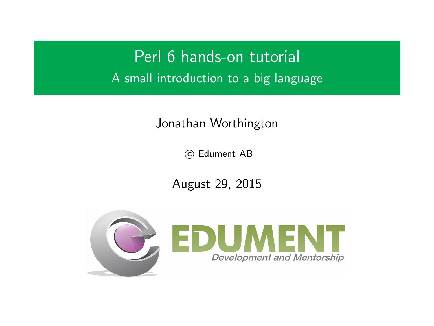Perl 6 hands-on tutorial A small introduction to a big language

#### Jonathan Worthington

(C) Edument AB

August 29, 2015

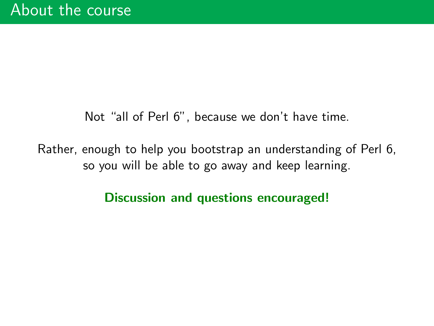Not "all of Perl 6", because we don't have time.

Rather, enough to help you bootstrap an understanding of Perl 6, so you will be able to go away and keep learning.

Discussion and questions encouraged!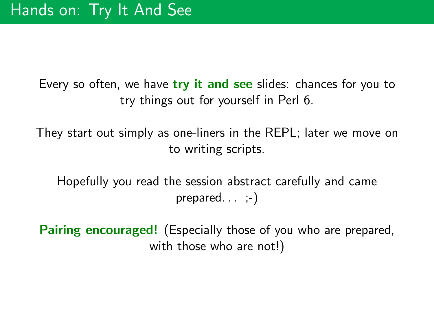Every so often, we have try it and see slides: chances for you to try things out for yourself in Perl 6.

They start out simply as one-liners in the REPL; later we move on to writing scripts.

Hopefully you read the session abstract carefully and came prepared.  $\ldots$   $;-)$ 

**Pairing encouraged!** (Especially those of you who are prepared, with those who are not!)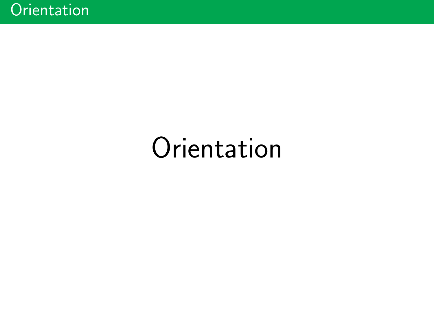# **Orientation**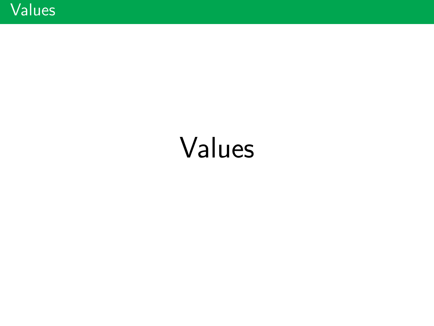# Values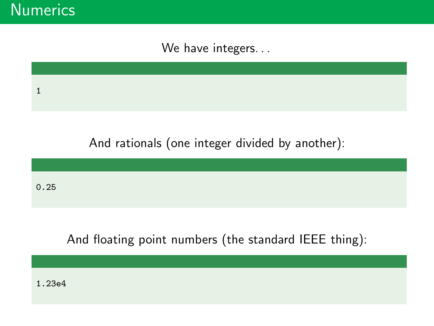**Numerics** 

We have integers...

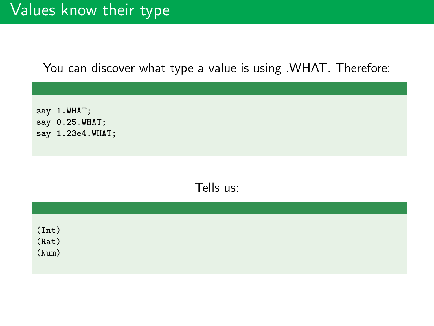# Values know their type

You can discover what type a value is using .WHAT. Therefore:

say 1.WHAT; say 0.25.WHAT; say 1.23e4.WHAT;

Tells us:

| $(int)$<br>$(Rat)$<br>$(Num)$ |  |  |  |
|-------------------------------|--|--|--|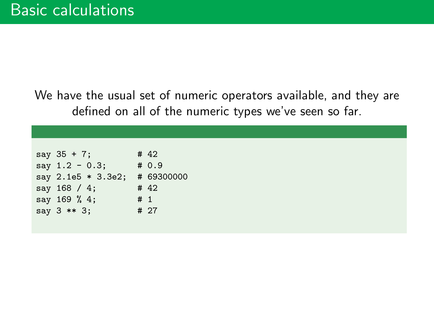We have the usual set of numeric operators available, and they are defined on all of the numeric types we've seen so far.

| $say 35 + 7;$      | # 42       |
|--------------------|------------|
| say $1.2 - 0.3$ ;  | # 0.9      |
| say 2.1e5 * 3.3e2; | # 69300000 |
| say 168 / 4;       | # 42       |
| say 169 % 4;       | #1         |
| say $3$ ** $3$ ;   | # 27       |
|                    |            |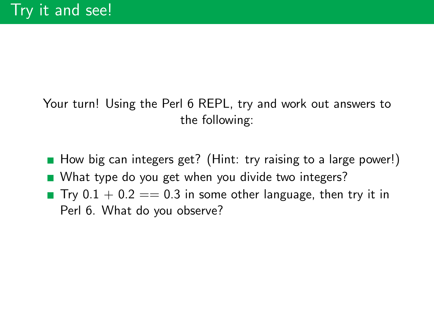### Your turn! Using the Perl 6 REPL, try and work out answers to the following:

- How big can integers get? (Hint: try raising to a large power!)
- What type do you get when you divide two integers?
- **T**ry  $0.1 + 0.2 == 0.3$  in some other language, then try it in Perl 6. What do you observe?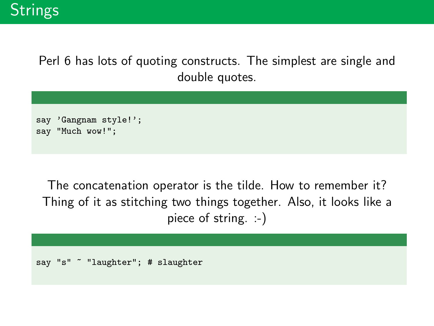Perl 6 has lots of quoting constructs. The simplest are single and double quotes.

```
say 'Gangnam style!';
say "Much wow!";
```
The concatenation operator is the tilde. How to remember it? Thing of it as stitching two things together. Also, it looks like a piece of string. :-)

```
say "s" ~ "laughter"; # slaughter
```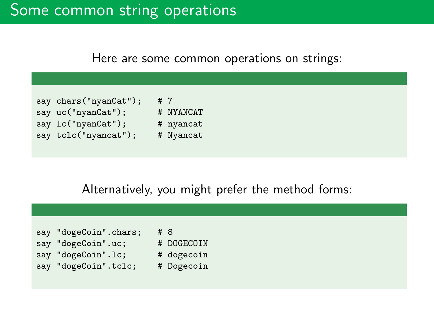# Some common string operations

Here are some common operations on strings:



#### Alternatively, you might prefer the method forms:

| say "dogeCoin".chars; | #8 |            |
|-----------------------|----|------------|
| say "dogeCoin".uc;    |    | # DOGECOIN |
| say "dogeCoin".lc;    |    | # dogecoin |
| say "dogeCoin".tclc;  |    | # Dogecoin |
|                       |    |            |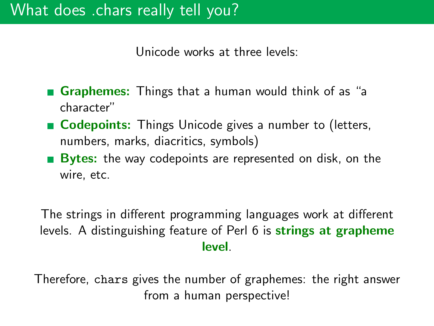Unicode works at three levels:

- Graphemes: Things that a human would think of as "a character"
- Codepoints: Things Unicode gives a number to (letters, numbers, marks, diacritics, symbols)
- **Bytes:** the way codepoints are represented on disk, on the wire, etc.

The strings in different programming languages work at different levels. A distinguishing feature of Perl 6 is **strings at grapheme** level.

Therefore, chars gives the number of graphemes: the right answer from a human perspective!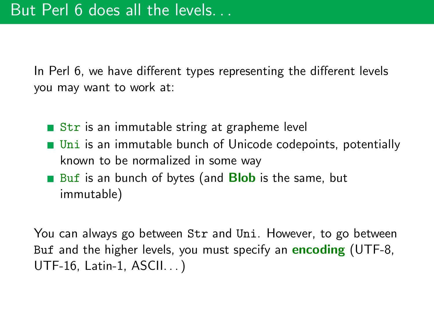In Perl 6, we have different types representing the different levels you may want to work at:

- Str is an immutable string at grapheme level
- **Uni is an immutable bunch of Unicode codepoints, potentially** known to be normalized in some way
- Buf is an bunch of bytes (and **Blob** is the same, but immutable)

You can always go between Str and Uni. However, to go between Buf and the higher levels, you must specify an **encoding** (UTF-8, UTF-16, Latin-1, ASCII. . . )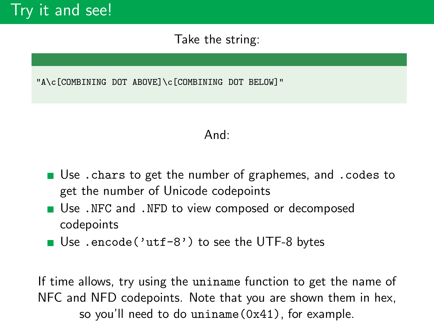#### Take the string:

"A\c[COMBINING DOT ABOVE]\c[COMBINING DOT BELOW]"

#### And:

- Use .chars to get the number of graphemes, and .codes to get the number of Unicode codepoints
- Use .NFC and .NFD to view composed or decomposed codepoints
- Use .encode('utf-8') to see the UTF-8 bytes

If time allows, try using the uniname function to get the name of NFC and NFD codepoints. Note that you are shown them in hex, so you'll need to do uniname(0x41), for example.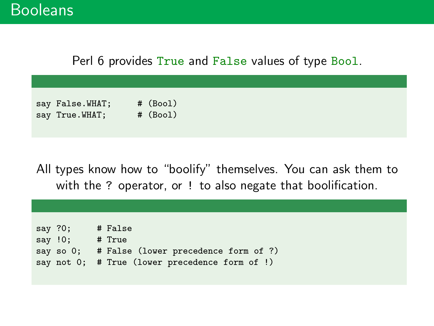#### Perl 6 provides True and False values of type Bool.

| say False.WHAT; | # (Bool) |
|-----------------|----------|
| say True.WHAT;  | # (Bool) |

All types know how to "boolify" themselves. You can ask them to with the ? operator, or ! to also negate that boolification.

| say $?0$ ; |         | # False                                        |
|------------|---------|------------------------------------------------|
|            | say !0; | # True                                         |
|            |         | say so 0; # False (lower precedence form of ?) |
|            |         | say not 0; # True (lower precedence form of !) |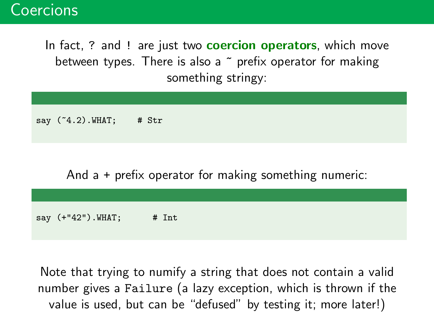## Coercions

In fact, ? and ! are just two **coercion operators**, which move between types. There is also a  $\tilde{ }$  prefix operator for making something stringy:

say  $(^{^\circ}4.2)$ . WHAT; # Str

And a + prefix operator for making something numeric:

say  $(+"42")$ . WHAT; # Int

Note that trying to numify a string that does not contain a valid number gives a Failure (a lazy exception, which is thrown if the value is used, but can be "defused" by testing it; more later!)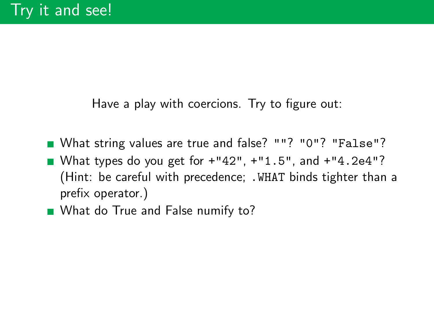Have a play with coercions. Try to figure out:

- What string values are true and false? ""? "0"? "False"?
- What types do you get for  $+$ "42",  $+$ "1.5", and  $+$ "4.2e4"? (Hint: be careful with precedence; .WHAT binds tighter than a prefix operator.)
- What do True and False numify to?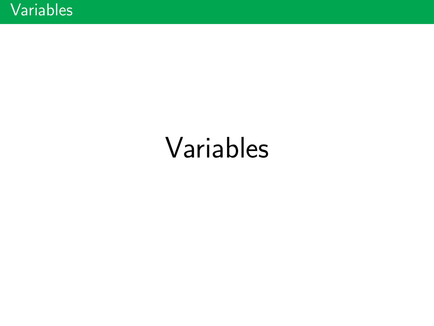# Variables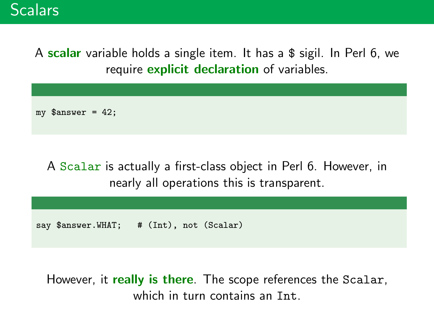## **Scalars**

A scalar variable holds a single item. It has a \$ sigil. In Perl 6, we require explicit declaration of variables.

my  $\text{Sanswer} = 42$ ;

## A Scalar is actually a first-class object in Perl 6. However, in nearly all operations this is transparent.

say \$answer.WHAT; # (Int), not (Scalar)

However, it really is there. The scope references the Scalar, which in turn contains an Int.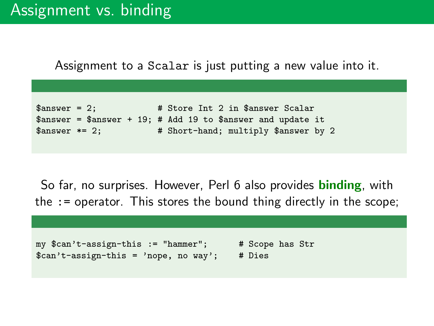Assignment to a Scalar is just putting a new value into it.

```
$answer = 2; # Store Int 2 in $answer Scalar
\text{L} sanswer = $answer + 19; # Add 19 to $answer and update it
$answer *= 2; # Short-hand; multiply $answer by 2
```
So far, no surprises. However, Perl 6 also provides **binding**, with the := operator. This stores the bound thing directly in the scope;

```
my $can't-assign-this := "hammer"; # Scope has Str
% can't-assign-this = 'nope, no way'; # Dies
```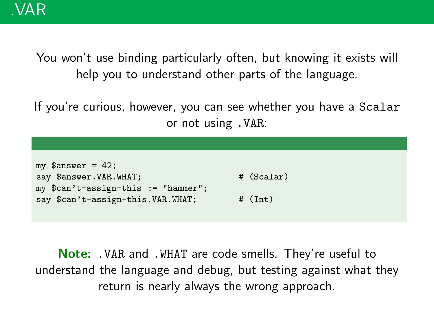You won't use binding particularly often, but knowing it exists will help you to understand other parts of the language.

If you're curious, however, you can see whether you have a Scalar or not using .VAR:

| my $\text{answer} = 42$ ;             |            |
|---------------------------------------|------------|
| say \$answer. VAR. WHAT;              | # (Scalar) |
| $my$ \$can't-assign-this := "hammer"; |            |
| say \$can't-assign-this. VAR. WHAT;   | # (Int)    |

Note: .VAR and .WHAT are code smells. They're useful to understand the language and debug, but testing against what they return is nearly always the wrong approach.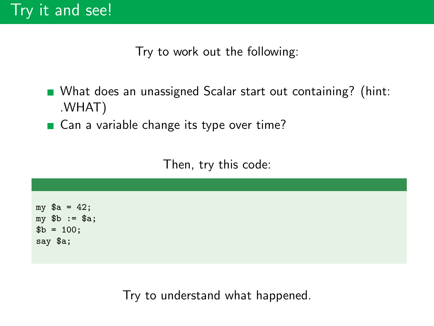Try to work out the following:

- What does an unassigned Scalar start out containing? (hint: .WHAT)
- Can a variable change its type over time?

Then, try this code:

my  $a = 42$ ; my \$b := \$a;  $b = 100$ ; say \$a;

Try to understand what happened.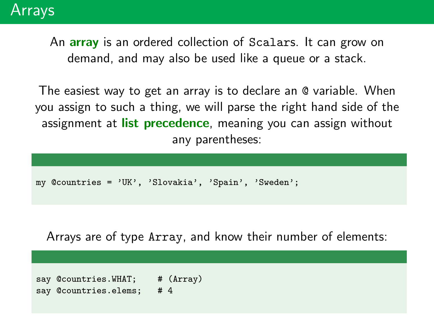An **array** is an ordered collection of Scalars. It can grow on demand, and may also be used like a queue or a stack.

The easiest way to get an array is to declare an @ variable. When you assign to such a thing, we will parse the right hand side of the assignment at list precedence, meaning you can assign without any parentheses:

```
my @countries = 'UK', 'Slovakia', 'Spain', 'Sweden';
```
Arrays are of type Array, and know their number of elements:

say @countries.WHAT; # (Array) say @countries.elems: #4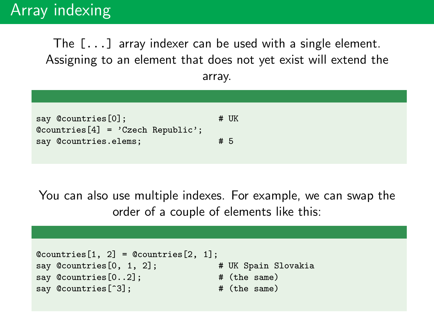# Array indexing

The [...] array indexer can be used with a single element. Assigning to an element that does not yet exist will extend the array.

| $# \nUK$ |
|----------|
|          |
| #5       |
|          |
|          |

You can also use multiple indexes. For example, we can swap the order of a couple of elements like this:

```
@countries[1, 2] = @countries[2, 1];say @countries[0, 1, 2]; # UK Spain Slovakia
say @countries[0..2]; # (the same)
say @countries[^3]; # (the same)
```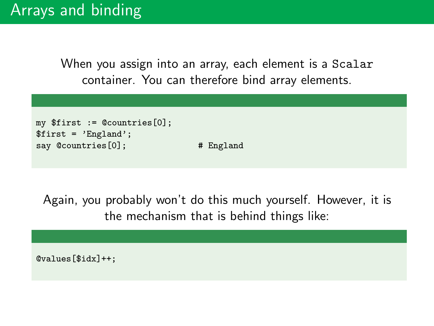When you assign into an array, each element is a Scalar container. You can therefore bind array elements.

```
my $first := @countries[0];
$first = 'England';
say @countries[0]; # England
```
Again, you probably won't do this much yourself. However, it is the mechanism that is behind things like:

@values[\$idx]++;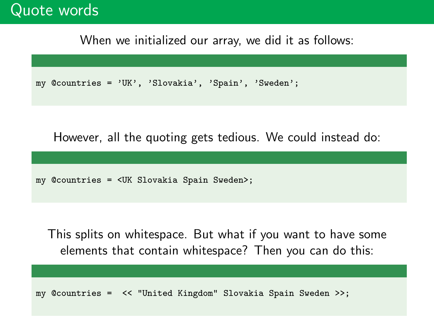## Quote words

When we initialized our array, we did it as follows:

```
my @countries = 'UK', 'Slovakia', 'Spain', 'Sweden';
```
However, all the quoting gets tedious. We could instead do:

my @countries = <UK Slovakia Spain Sweden>;

This splits on whitespace. But what if you want to have some elements that contain whitespace? Then you can do this:

my @countries = << "United Kingdom" Slovakia Spain Sweden >>;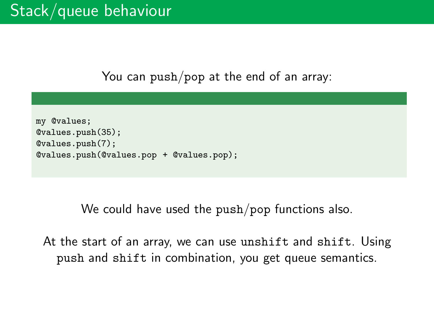You can push/pop at the end of an array:

```
my @values;
@values.push(35);
@values.push(7);
@values.push(@values.pop + @values.pop);
```
We could have used the push/pop functions also.

At the start of an array, we can use unshift and shift. Using push and shift in combination, you get queue semantics.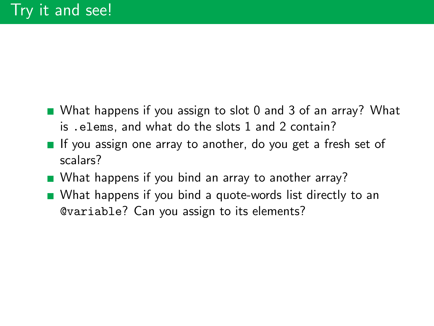- What happens if you assign to slot 0 and 3 of an array? What is .elems, and what do the slots 1 and 2 contain?
- If you assign one array to another, do you get a fresh set of scalars?
- What happens if you bind an array to another array?
- What happens if you bind a quote-words list directly to an @variable? Can you assign to its elements?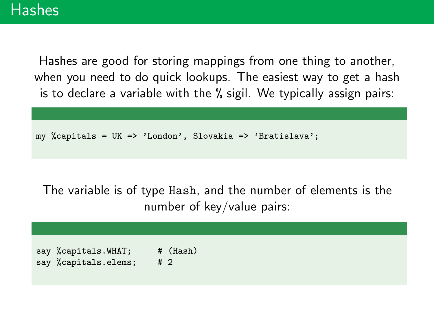Hashes are good for storing mappings from one thing to another, when you need to do quick lookups. The easiest way to get a hash is to declare a variable with the % sigil. We typically assign pairs:

my %capitals = UK => 'London', Slovakia => 'Bratislava';

The variable is of type Hash, and the number of elements is the number of key/value pairs:

say %capitals.WHAT; # (Hash) say %capitals.elems; # 2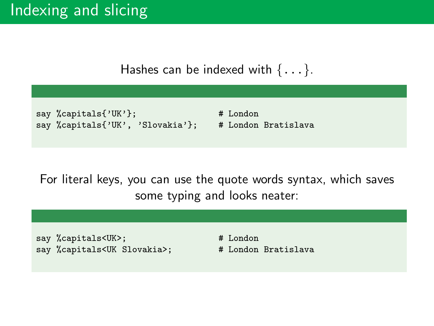#### Hashes can be indexed with  $\{ \ldots \}$ .

```
say %capitals{'UK'}; \qquad # London
say %capitals{'UK', 'Slovakia'}; # London Bratislava
```
For literal keys, you can use the quote words syntax, which saves some typing and looks neater:

say %capitals<UK>; # London say %capitals<UK Slovakia>; # London Bratislava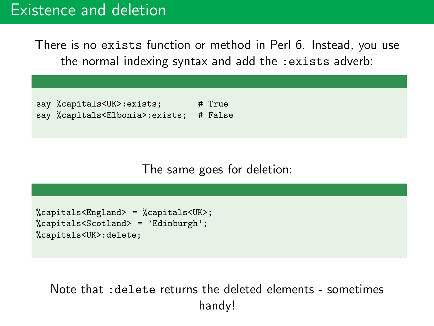## Existence and deletion

There is no exists function or method in Perl 6. Instead, you use the normal indexing syntax and add the :exists adverb:

say %capitals<UK>:exists; # True say %capitals<Elbonia>:exists; # False

The same goes for deletion:

```
%capitals<England> = %capitals<UK>;
%capitals<Scotland> = 'Edinburgh';
%capitals<UK>:delete;
```
Note that :delete returns the deleted elements - sometimes handy!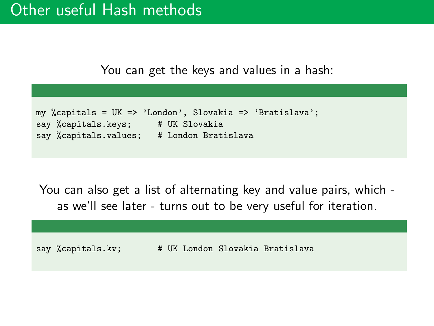You can get the keys and values in a hash:

```
my %capitals = UK => 'London', Slovakia => 'Bratislava';
say %capitals.keys; # UK Slovakia
say %capitals.values; # London Bratislava
```
You can also get a list of alternating key and value pairs, which as we'll see later - turns out to be very useful for iteration.

say %capitals.kv; # UK London Slovakia Bratislava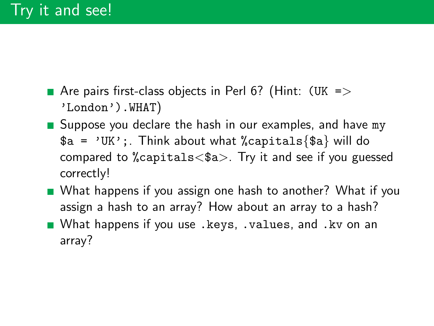- Are pairs first-class objects in Perl 6? (Hint:  $(UK =)$ 'London').WHAT)
- Suppose you declare the hash in our examples, and have my  $a = 'UK':$ . Think about what %capitals{\$a} will do compared to %capitals<\$a>. Try it and see if you guessed correctly!
- What happens if you assign one hash to another? What if you assign a hash to an array? How about an array to a hash?
- What happens if you use .keys, .values, and .kv on an array?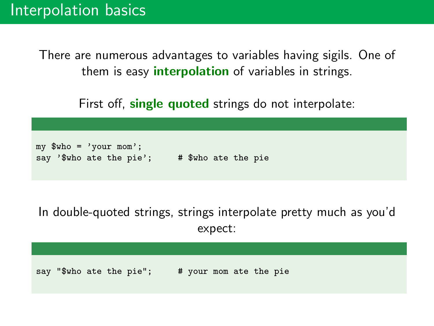There are numerous advantages to variables having sigils. One of them is easy **interpolation** of variables in strings.

First off, **single quoted** strings do not interpolate:

```
mv $who = 'your mom':
say '$who ate the pie'; \# $who ate the pie
```
In double-quoted strings, strings interpolate pretty much as you'd expect:

say "\$who ate the pie"; # your mom ate the pie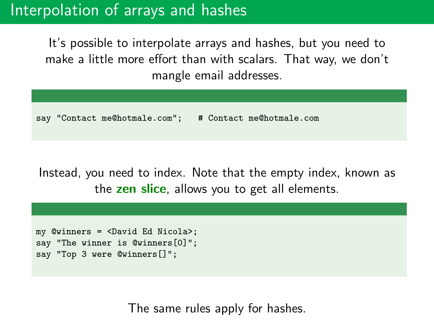# Interpolation of arrays and hashes

It's possible to interpolate arrays and hashes, but you need to make a little more effort than with scalars. That way, we don't mangle email addresses.

say "Contact me@hotmale.com"; # Contact me@hotmale.com

Instead, you need to index. Note that the empty index, known as the zen slice, allows you to get all elements.

my @winners = <David Ed Nicola>; say "The winner is @winners[0]"; say "Top 3 were @winners[]";

The same rules apply for hashes.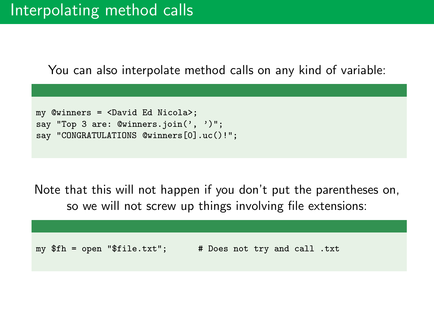## Interpolating method calls

You can also interpolate method calls on any kind of variable:

```
my @winners = <David Ed Nicola>;
say "Top 3 are: @winners.join(', ')";
say "CONGRATULATIONS @winners[0].uc()!";
```
Note that this will not happen if you don't put the parentheses on, so we will not screw up things involving file extensions:

my \$fh = open "\$file.txt"; # Does not try and call .txt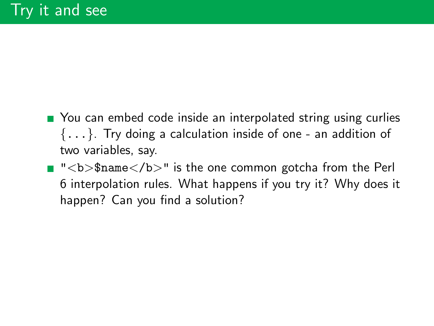- You can embed code inside an interpolated string using curlies  $\{\ldots\}$ . Try doing a calculation inside of one - an addition of two variables, say.
- "<b>\$name</b>" is the one common gotcha from the Perl 6 interpolation rules. What happens if you try it? Why does it happen? Can you find a solution?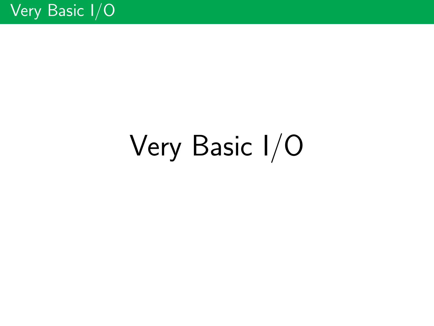# Very Basic I/O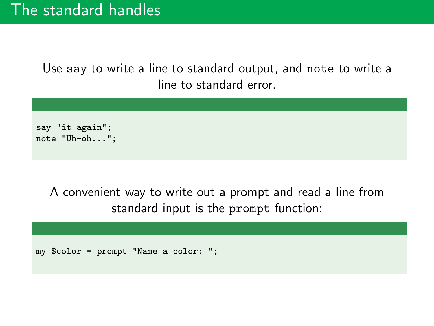Use say to write a line to standard output, and note to write a line to standard error.



A convenient way to write out a prompt and read a line from standard input is the prompt function:

my \$color = prompt "Name a color: ";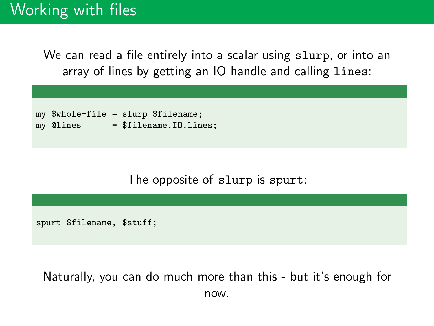We can read a file entirely into a scalar using slurp, or into an array of lines by getting an IO handle and calling lines:

```
my $whole-file = slurp $filename;
mv @lines = $filename.I0.lines:
```
#### The opposite of slurp is spurt:

spurt \$filename, \$stuff;

Naturally, you can do much more than this - but it's enough for now.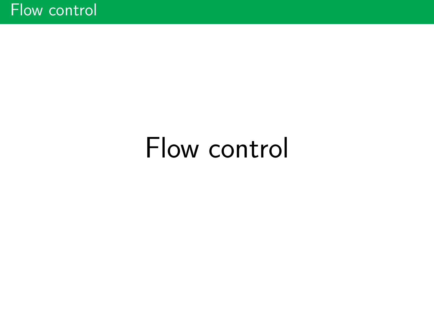## Flow control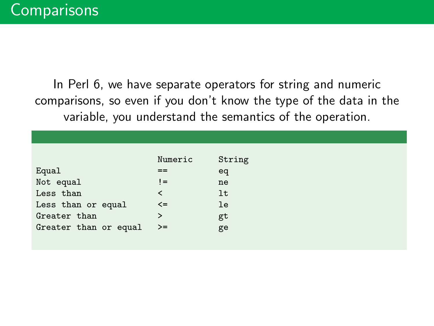In Perl 6, we have separate operators for string and numeric comparisons, so even if you don't know the type of the data in the variable, you understand the semantics of the operation.

|                       | Numeric | String |
|-----------------------|---------|--------|
| Equal                 | ==      | eq     |
| Not equal             | $!=$    | ne     |
| Less than             | ≺       | 1t     |
| Less than or equal    | $\leq$  | le     |
| Greater than          | ⋗       | gt     |
| Greater than or equal | >=      | ge     |
|                       |         |        |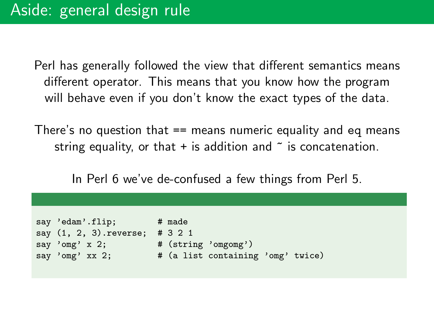Perl has generally followed the view that different semantics means different operator. This means that you know how the program will behave even if you don't know the exact types of the data.

There's no question that == means numeric equality and eq means string equality, or that  $+$  is addition and  $\tilde{ }$  is concatenation.

In Perl 6 we've de-confused a few things from Perl 5.

```
say 'edam'.flip; # made
say (1, 2, 3).reverse; # 3 2 1
say 'omg' x 2; \qquad # (string 'omgomg')
say 'omg' xx 2; \qquad # (a list containing 'omg' twice)
```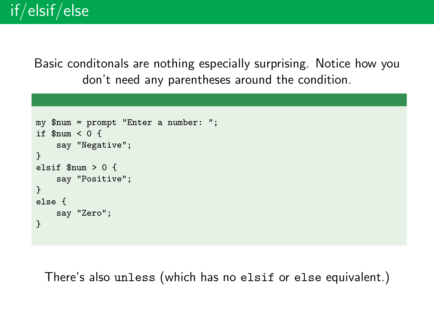Basic conditonals are nothing especially surprising. Notice how you don't need any parentheses around the condition.

```
my $num = prompt "Enter a number: ";
if $num < 0 {
    say "Negative";
}
elsif $num > 0 {
    say "Positive";
}
else {
    say "Zero";
}
```
There's also unless (which has no elsif or else equivalent.)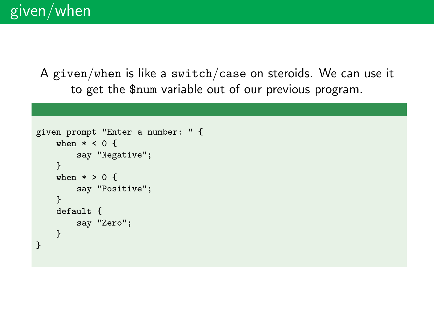A given/when is like a switch/case on steroids. We can use it to get the \$num variable out of our previous program.

```
given prompt "Enter a number: " {
   when * < 0 {
        say "Negative";
    }
    when * > 0 {
        say "Positive";
    }
    default {
        say "Zero";
    }
}
```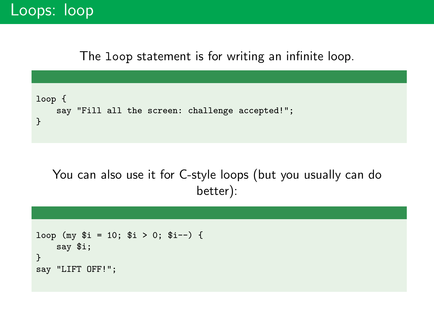## Loops: loop

The loop statement is for writing an infinite loop.



You can also use it for C-style loops (but you usually can do better):

```
loop (my i = 10; i > 0; i = -) {
    say $i;
}
say "LIFT OFF!";
```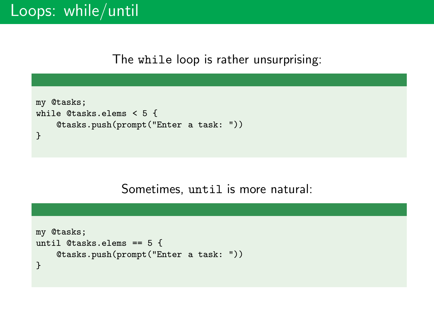The while loop is rather unsurprising:

```
my @tasks;
while @tasks.elems < 5 {
    @tasks.push(prompt("Enter a task: "))
}
```
#### Sometimes, until is more natural:

```
my @tasks;
until @tasks.elems == 5 {
    @tasks.push(prompt("Enter a task: "))
}
```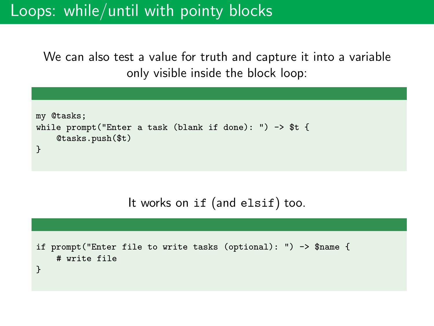## Loops: while/until with pointy blocks

We can also test a value for truth and capture it into a variable only visible inside the block loop:

```
my @tasks;
while prompt("Enter a task (blank if done): ") -> $t {
    @tasks.push($t)
}
```
It works on if (and elsif) too.

```
if prompt("Enter file to write tasks (optional): ") -> $name {
    # write file
}
```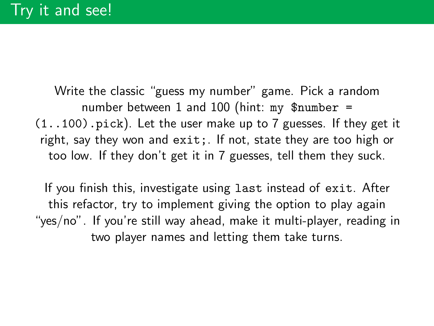Write the classic "guess my number" game. Pick a random number between 1 and 100 (hint: my  $\text{\$number}$  = (1..100).pick). Let the user make up to 7 guesses. If they get it right, say they won and exit;. If not, state they are too high or too low. If they don't get it in 7 guesses, tell them they suck.

If you finish this, investigate using last instead of exit. After this refactor, try to implement giving the option to play again "yes/no". If you're still way ahead, make it multi-player, reading in two player names and letting them take turns.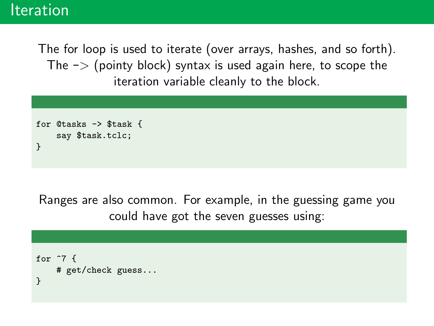### Iteration

The for loop is used to iterate (over arrays, hashes, and so forth). The  $\rightarrow$  (pointy block) syntax is used again here, to scope the iteration variable cleanly to the block.

```
for @tasks -> $task {
    say $task.tclc;
}
```
Ranges are also common. For example, in the guessing game you could have got the seven guesses using:

```
for \hat{7} {
    # get/check guess...
}
```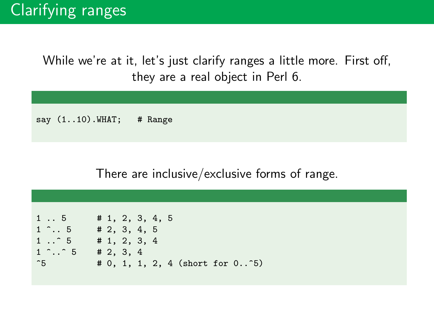While we're at it, let's just clarify ranges a little more. First off, they are a real object in Perl 6.

say (1..10). WHAT; # Range

#### There are inclusive/exclusive forms of range.

```
1 .. 5 # 1, 2, 3, 4, 5
1 \t1 \t.5 # 2, 3, 4, 5
1 \tcdot \tcdot 5 # 1, 2, 3, 4
1 \tbinom{6}{1} ...com 5 # 2, 3, 4
\hat{5} # 0, 1, 1, 2, 4 (short for 0..\hat{5})
```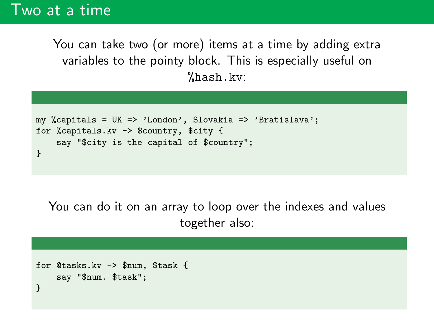## Two at a time

You can take two (or more) items at a time by adding extra variables to the pointy block. This is especially useful on %hash.kv:

```
my %capitals = UK => 'London', Slovakia => 'Bratislava';
for %capitals.kv -> $country, $city {
    say "$city is the capital of $country";
}
```
You can do it on an array to loop over the indexes and values together also:

```
for @tasks.kv -> $num, $task {
    say "$num. $task";
}
```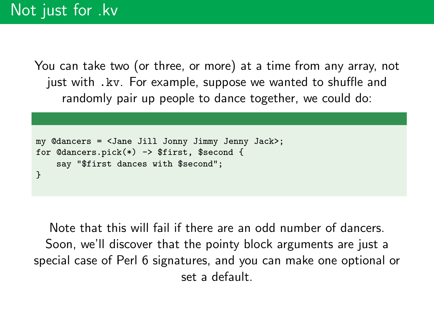You can take two (or three, or more) at a time from any array, not just with .kv. For example, suppose we wanted to shuffle and randomly pair up people to dance together, we could do:

```
my @dancers = <Jane Jill Jonny Jimmy Jenny Jack>;
for @dancers.pick(*) -> $first, $second {
    say "$first dances with $second";
}
```
Note that this will fail if there are an odd number of dancers. Soon, we'll discover that the pointy block arguments are just a special case of Perl 6 signatures, and you can make one optional or set a default.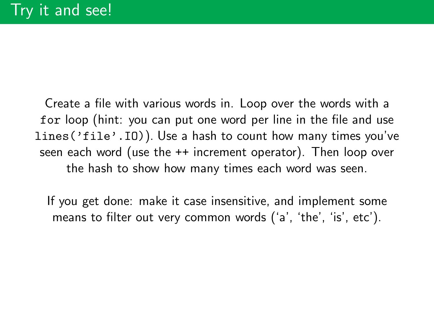Create a file with various words in. Loop over the words with a for loop (hint: you can put one word per line in the file and use lines('file'.IO)). Use a hash to count how many times you've seen each word (use the ++ increment operator). Then loop over the hash to show how many times each word was seen.

If you get done: make it case insensitive, and implement some means to filter out very common words ('a', 'the', 'is', etc').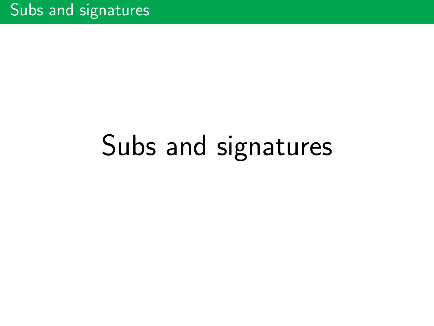## Subs and signatures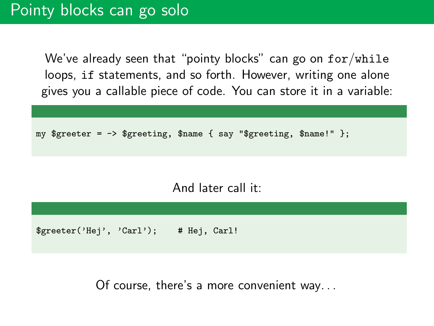We've already seen that "pointy blocks" can go on  $for/while$ loops, if statements, and so forth. However, writing one alone gives you a callable piece of code. You can store it in a variable:

my  $s$ greeter =  $\rightarrow$   $s$ greeting,  $s$ name { say " $s$ greeting,  $s$ name!" };

And later call it:

\$greeter('Hej', 'Carl'); # Hej, Carl!

Of course, there's a more convenient way. . .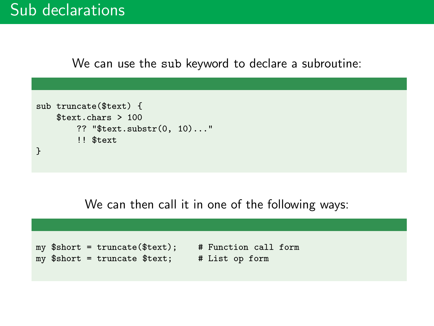We can use the sub keyword to declare a subroutine:

```
sub truncate($text) {
    $text.chars > 100
        ?? "$text.substr(0, 10)..."
        !! $text
}
```
We can then call it in one of the following ways:

my \$short = truncate(\$text); # Function call form my \$short = truncate \$text; # List op form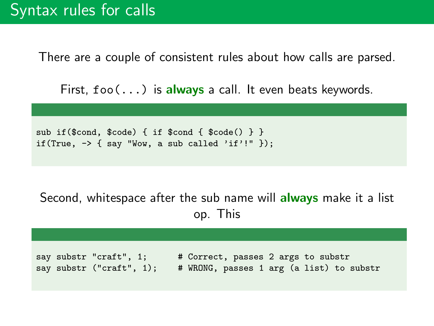There are a couple of consistent rules about how calls are parsed.

First,  $foo(...)$  is always a call. It even beats keywords.

```
sub if($cond, $code) { if $cond { $code() } }
if(True, \rightarrow { say "Wow, a sub called 'if'!" });
```
#### Second, whitespace after the sub name will **always** make it a list op. This

say substr "craft", 1; # Correct, passes 2 args to substr say substr ("craft", 1); # WRONG, passes 1 arg (a list) to substr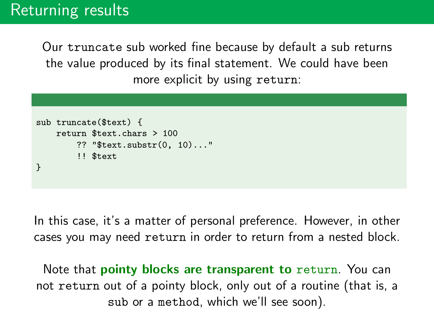Our truncate sub worked fine because by default a sub returns the value produced by its final statement. We could have been more explicit by using return:

```
sub truncate($text) {
    return $text.chars > 100
        ?? "$text.substr(0, 10)..."
        !! $text
}
```
In this case, it's a matter of personal preference. However, in other cases you may need return in order to return from a nested block.

Note that **pointy blocks are transparent to** return. You can not return out of a pointy block, only out of a routine (that is, a sub or a method, which we'll see soon).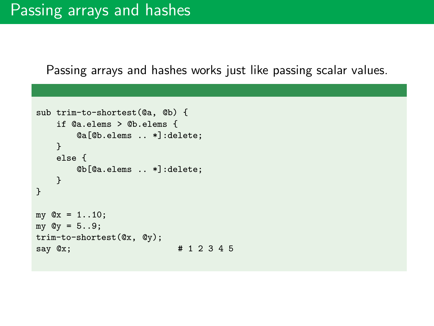Passing arrays and hashes works just like passing scalar values.

```
sub trim-to-shortest(@a, @b) {
   if @a.elems > @b.elems {
       @a[@b.elems .. *]:delete;
   }
   else {
       @b[@a.elems .. *]:delete;
   }
}
my Qx = 1..10;
my Qy = 5..9;trim-to-shortest(@x, @y);
say @x; # 1 2 3 4 5
```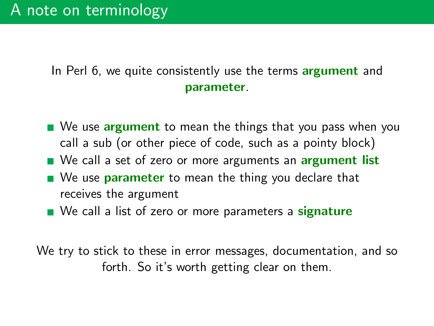In Perl 6, we quite consistently use the terms **argument** and parameter.

- We use argument to mean the things that you pass when you call a sub (or other piece of code, such as a pointy block)
- We call a set of zero or more arguments an **argument list**
- We use **parameter** to mean the thing you declare that receives the argument
- We call a list of zero or more parameters a **signature**

We try to stick to these in error messages, documentation, and so forth. So it's worth getting clear on them.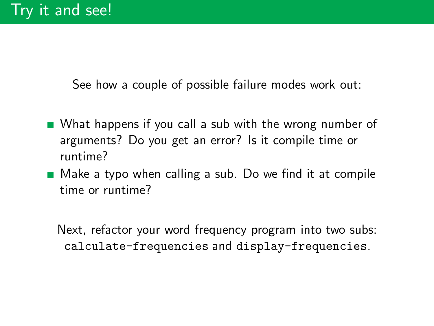See how a couple of possible failure modes work out:

- What happens if you call a sub with the wrong number of arguments? Do you get an error? Is it compile time or runtime?
- Make a typo when calling a sub. Do we find it at compile time or runtime?

Next, refactor your word frequency program into two subs: calculate-frequencies and display-frequencies.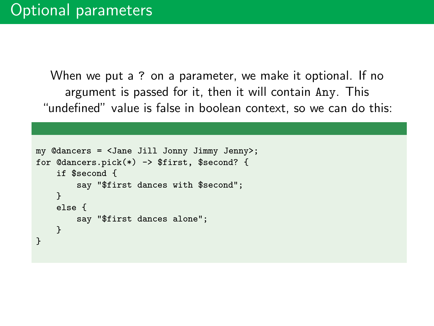When we put a ? on a parameter, we make it optional. If no argument is passed for it, then it will contain Any. This "undefined" value is false in boolean context, so we can do this:

```
my @dancers = <Jane Jill Jonny Jimmy Jenny>;
for @dancers.pick(*) -> $first, $second? {
    if $second {
        say "$first dances with $second";
    }
    else {
        say "$first dances alone";
    }
}
```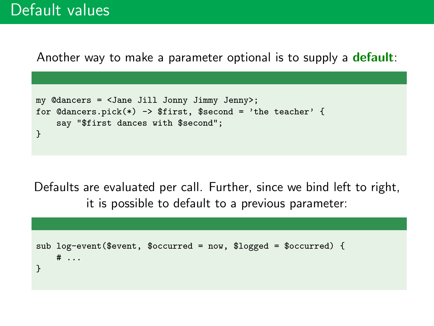## Default values

Another way to make a parameter optional is to supply a **default**:

```
my @dancers = <Jane Jill Jonny Jimmy Jenny>;
for \mathbb{C}dancers.pick(*) -> \text{first}, \text{second} = \text{'the teacher'} {
    say "$first dances with $second";
}
```
Defaults are evaluated per call. Further, since we bind left to right, it is possible to default to a previous parameter:

```
sub log-event($event, $occurred = now, $logged = $occurred) {
   # ...
}
```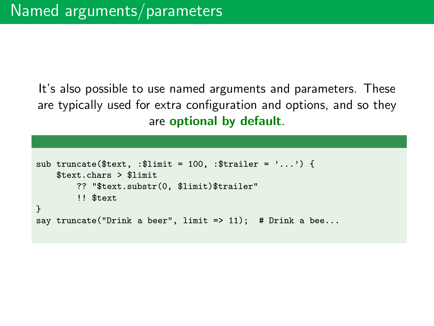It's also possible to use named arguments and parameters. These are typically used for extra configuration and options, and so they are optional by default.

```
sub truncate($text, :$limit = 100, :$trailer = '...') {
   $text.chars > $limit
        ?? "$text.substr(0, $limit)$trailer"
        !! $text
}
say truncate("Drink a beer", limit => 11); # Drink a bee...
```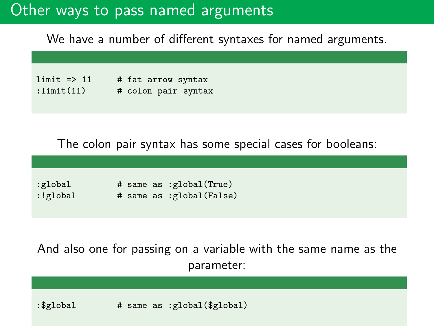## Other ways to pass named arguments

We have a number of different syntaxes for named arguments.

| $limit \Rightarrow 11$ | # fat arrow syntax  |
|------------------------|---------------------|
| :limit(11)             | # colon pair syntax |

The colon pair syntax has some special cases for booleans:

| :global  |  | # same as :global(True)  |
|----------|--|--------------------------|
| :!global |  | # same as :global(False) |

And also one for passing on a variable with the same name as the parameter:

:\$global # same as :global(\$global)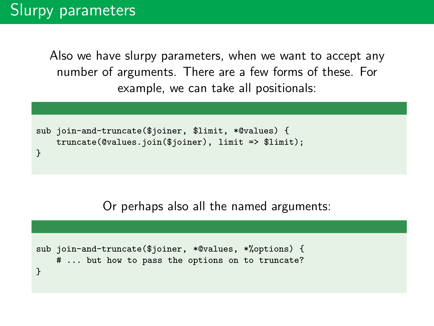Also we have slurpy parameters, when we want to accept any number of arguments. There are a few forms of these. For example, we can take all positionals:

```
sub join-and-truncate($joiner, $limit, *@values) {
   truncate(@values.join($joiner), limit => $limit);
}
```
Or perhaps also all the named arguments:

```
sub join-and-truncate($joiner, *@values, *%options) {
   # ... but how to pass the options on to truncate?
}
```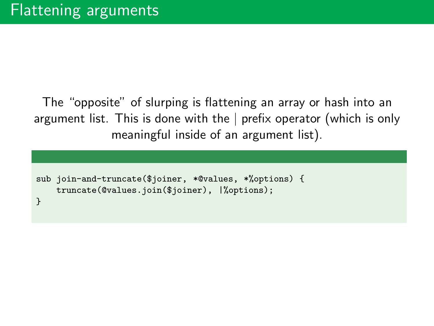The "opposite" of slurping is flattening an array or hash into an argument list. This is done with the | prefix operator (which is only meaningful inside of an argument list).

```
sub join-and-truncate($joiner, *@values, *%options) {
    truncate(@values.join($joiner), |%options);
}
```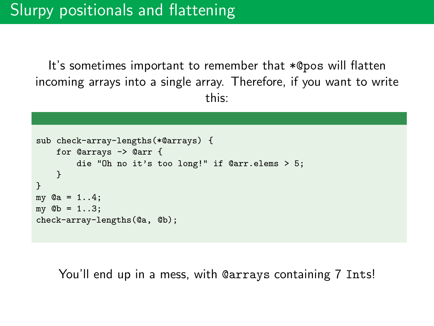It's sometimes important to remember that \*@pos will flatten incoming arrays into a single array. Therefore, if you want to write this:

```
sub check-array-lengths(*@arrays) {
    for @arrays -> @arr {
        die "Oh no it's too long!" if @arr.elems > 5;
    }
}
mv Qa = 1.14;
my Qb = 1..3;check-array-lengths(@a, @b);
```
You'll end up in a mess, with @arrays containing 7 Ints!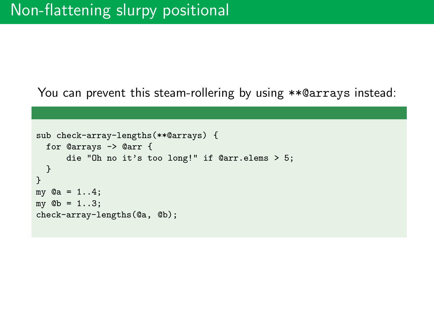You can prevent this steam-rollering by using \*\*@arrays instead:

```
sub check-array-lengths(**@arrays) {
 for @arrays -> @arr {
      die "Oh no it's too long!" if @arr.elems > 5;
 }
}
my @a = 1..4;my Qb = 1..3;check-array-lengths(@a, @b);
```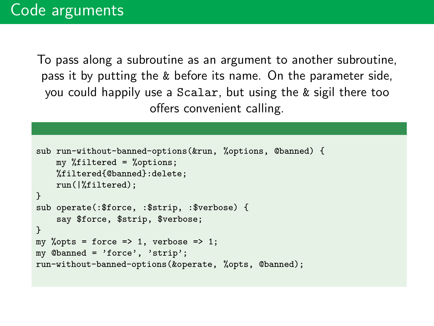To pass along a subroutine as an argument to another subroutine, pass it by putting the & before its name. On the parameter side, you could happily use a Scalar, but using the & sigil there too offers convenient calling.

```
sub run-without-banned-options(&run, %options, @banned) {
   my %filtered = %options;
    %filtered{@banned}:delete;
    run(|%filtered);
}
sub operate(:$force, :$strip, :$verbose) {
    say $force, $strip, $verbose;
}
my %opts = force => 1, verbose => 1;
my @banned = 'force', 'strip';
run-without-banned-options(&operate, %opts, @banned);
```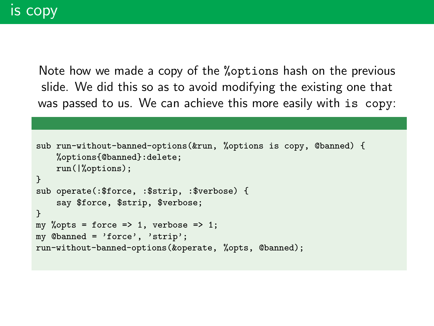Note how we made a copy of the %options hash on the previous slide. We did this so as to avoid modifying the existing one that was passed to us. We can achieve this more easily with is copy:

```
sub run-without-banned-options(&run, %options is copy, @banned) {
   %options{@banned}:delete;
   run(|%options);
}
sub operate(:$force, :$strip, :$verbose) {
    say $force, $strip, $verbose;
}
my %opts = force => 1, verbose => 1;
my @banned = 'force', 'strip';
run-without-banned-options(&operate, %opts, @banned);
```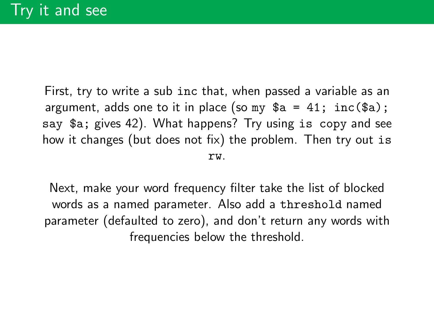First, try to write a sub inc that, when passed a variable as an argument, adds one to it in place (so my  $a = 41$ ; inc( $a$ ); say \$a; gives 42). What happens? Try using is copy and see how it changes (but does not fix) the problem. Then try out is rw.

Next, make your word frequency filter take the list of blocked words as a named parameter. Also add a threshold named parameter (defaulted to zero), and don't return any words with frequencies below the threshold.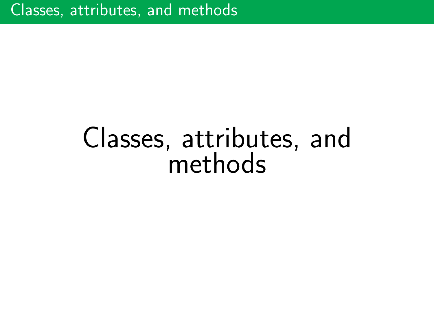## Classes, attributes, and methods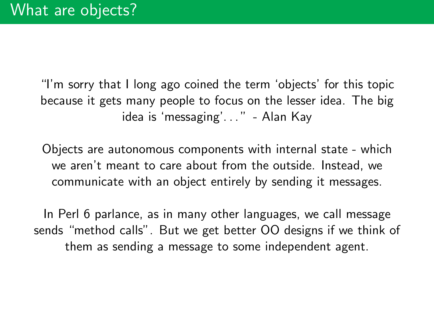"I'm sorry that I long ago coined the term 'objects' for this topic because it gets many people to focus on the lesser idea. The big idea is 'messaging'..." - Alan Kay

Objects are autonomous components with internal state - which we aren't meant to care about from the outside. Instead, we communicate with an object entirely by sending it messages.

In Perl 6 parlance, as in many other languages, we call message sends "method calls". But we get better OO designs if we think of them as sending a message to some independent agent.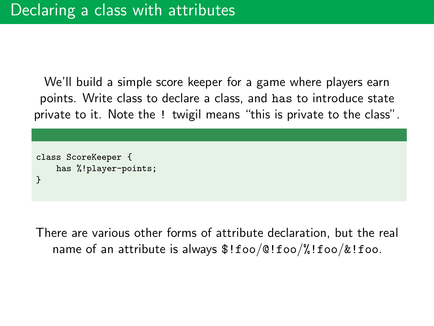We'll build a simple score keeper for a game where players earn points. Write class to declare a class, and has to introduce state private to it. Note the ! twigil means "this is private to the class".

```
class ScoreKeeper {
    has %!player-points;
}
```
There are various other forms of attribute declaration, but the real name of an attribute is always \$!foo/@!foo/%!foo/&!foo.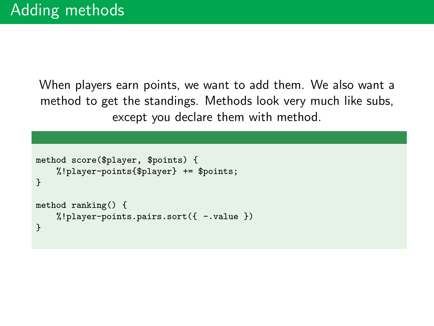When players earn points, we want to add them. We also want a method to get the standings. Methods look very much like subs, except you declare them with method.

```
method score($player, $points) {
    %!player-points{$player} += $points;
}
method ranking() {
    %!player-points.pairs.sort({ -.value })
}
```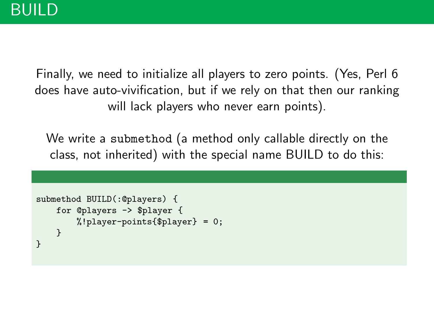Finally, we need to initialize all players to zero points. (Yes, Perl 6 does have auto-vivification, but if we rely on that then our ranking will lack players who never earn points).

We write a submethod (a method only callable directly on the class, not inherited) with the special name BUILD to do this:

```
submethod BUILD(:@players) {
    for @players -> $player {
        %!player-points{$player} = 0;
    }
}
```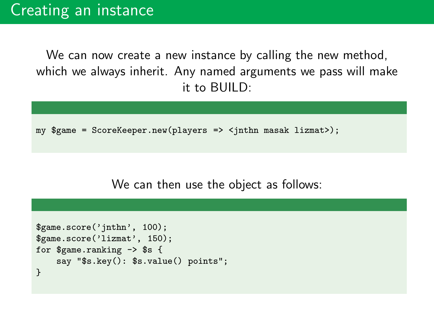We can now create a new instance by calling the new method, which we always inherit. Any named arguments we pass will make it to BUILD:

```
my $game = ScoreKeeper.new(players => <jnthn masak lizmat>);
```
We can then use the object as follows:

```
$game.score('jnthn', 100);
$game.score('lizmat', 150);
for $game.ranking -> $s {
    say "$s.key(): $s.value() points";
}
```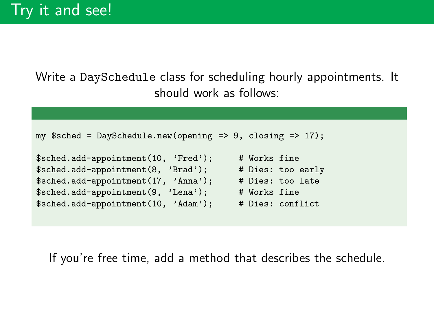Write a DaySchedule class for scheduling hourly appointments. It should work as follows:

```
my ssched = DaySchedule.new(opening => 9, closing => 17);
$sched.add-appointment(10, 'Fred'); # Works fine
$sched.add-appointment(8, 'Brad'); # Dies: too early
$sched.add-appointment(17, 'Anna'); # Dies: too late
$sched.add-appointment(9, 'Lena'); # Works fine
$sched.add-appointment(10, 'Adam'); # Dies: conflict
```
If you're free time, add a method that describes the schedule.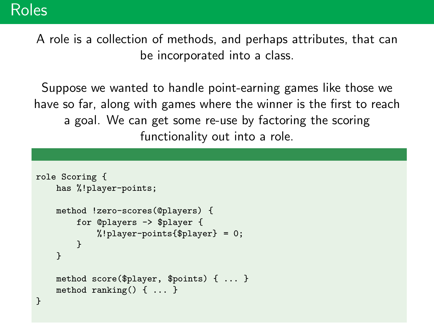A role is a collection of methods, and perhaps attributes, that can be incorporated into a class.

Suppose we wanted to handle point-earning games like those we have so far, along with games where the winner is the first to reach a goal. We can get some re-use by factoring the scoring functionality out into a role.

```
role Scoring {
    has %!player-points;
    method !zero-scores(@players) {
        for @players -> $player {
            %! player-points{$player} = 0;
        }
    }
    method score($player, $points) { ... }
    method ranking() { ... }
}
```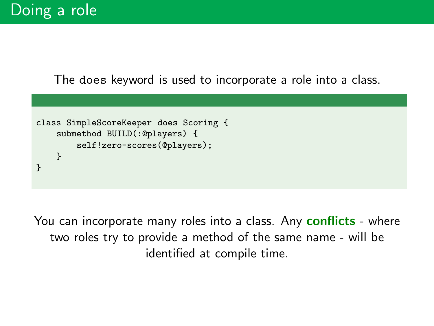The does keyword is used to incorporate a role into a class.



You can incorporate many roles into a class. Any **conflicts** - where two roles try to provide a method of the same name - will be identified at compile time.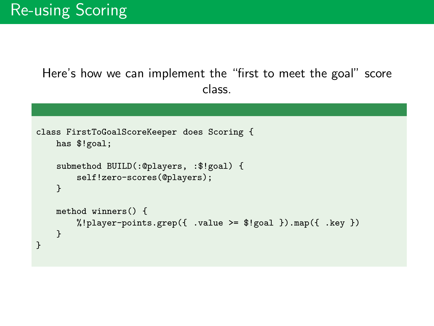Here's how we can implement the "first to meet the goal" score class.

```
class FirstToGoalScoreKeeper does Scoring {
   has $!goal;
    submethod BUILD(:@players, :$!goal) {
        self!zero-scores(@players);
    }
   method winners() {
        \frac{0}{2}!player-points.grep({ .value >= $!goal }).map({ .key })
    }
}
```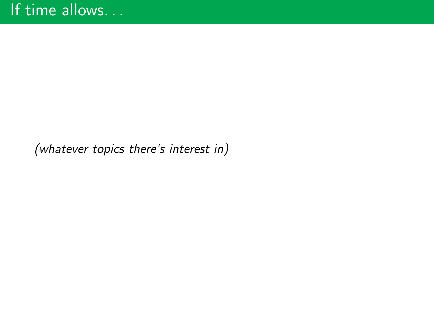(whatever topics there's interest in)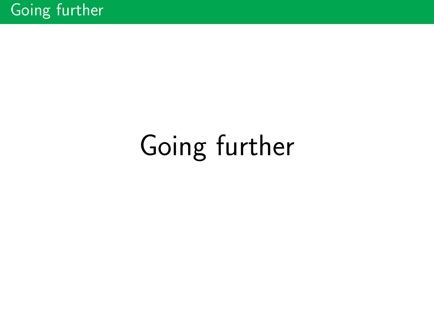## Going further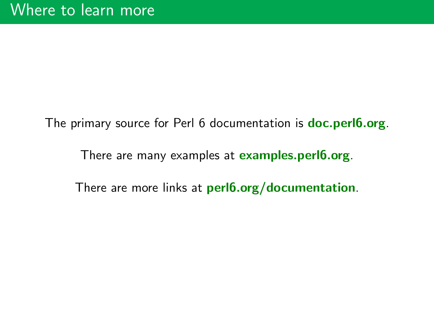The primary source for Perl 6 documentation is **doc.perl6.org**.

There are many examples at examples.perl6.org.

There are more links at perl6.org/documentation.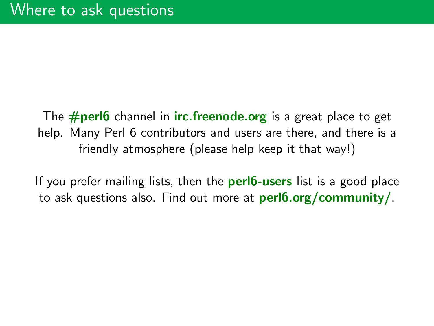The  $\#$ **perl6** channel in **irc.freenode.org** is a great place to get help. Many Perl 6 contributors and users are there, and there is a friendly atmosphere (please help keep it that way!)

If you prefer mailing lists, then the **perl6-users** list is a good place to ask questions also. Find out more at perl6.org/community/.